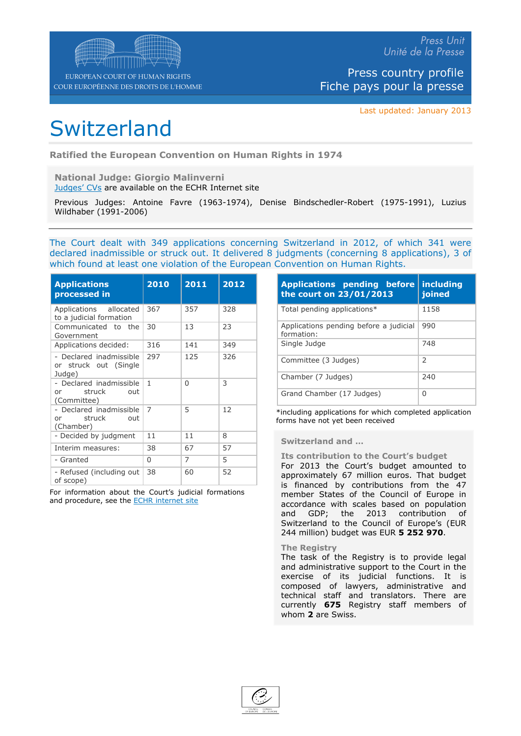Last updated: January 2013

# **Switzerland**

Ratified the European Convention on Human Rights in 1974

National Judge: Giorgio Malinverni [Judges'](http://www.echr.coe.int/ECHR/EN/Header/The+Court/The+Court/Judges+of+the+Court/) [CVs](http://www.echr.coe.int/ECHR/EN/Header/The+Court/The+Court/Judges+of+the+Court/) are available on the ECHR Internet site

|                       |  |  | Previous Judges: Antoine Favre (1963-1974), Denise Bindschedler-Robert (1975-1991), Luzius |  |
|-----------------------|--|--|--------------------------------------------------------------------------------------------|--|
| Wildhaber (1991-2006) |  |  |                                                                                            |  |

The Court dealt with 349 applications concerning Switzerland in 2012, of which 341 were declared inadmissible or struck out. It delivered 8 judgments (concerning 8 applications), 3 of which found at least one violation of the European Convention on Human Rights.

| <b>Applications</b><br>processed in                              | 2010           | 2011           | 2012 |
|------------------------------------------------------------------|----------------|----------------|------|
| Applications allocated<br>to a judicial formation                | 367            | 357            | 328  |
| Communicated<br>the<br>to<br>Government                          | 30             | 13             | 23   |
| Applications decided:                                            | 316            | 141            | 349  |
| - Declared inadmissible<br>struck out<br>(Single<br>or<br>Judge) | 297            | 125            | 326  |
| - Declared inadmissible<br>struck<br>out<br>or<br>(Committee)    | 1              | $\Omega$       | 3    |
| - Declared inadmissible<br>struck<br>out<br>or<br>(Chamber)      | $\overline{7}$ | 5              | 12   |
| - Decided by judgment                                            | 11             | 11             | 8    |
| Interim measures:                                                | 38             | 67             | 57   |
| - Granted                                                        | 0              | $\overline{7}$ | 5    |
| - Refused (including<br>out<br>of scope)                         | 38             | 60             | 52   |

For information about the Court's judicial formations and procedure, see the EC[HR](http://www.echr.coe.int/ECHR/EN/Header/The+Court/How+the+Court+works/Case-processing+flow+chart/) [internet](http://www.echr.coe.int/ECHR/EN/Header/The+Court/How+the+Court+works/Case-processing+flow+chart/) [site](http://www.echr.coe.int/ECHR/EN/Header/The+Court/How+the+Court+works/Case-processing+flow+chart/)

| <b>before</b><br>Applications pending<br>the court on 23/01/2013 | including<br>joined |
|------------------------------------------------------------------|---------------------|
| Total pending applications*                                      | 1158                |
| Applications pending before a judicial<br>formation:             | 990                 |
| Single Judge                                                     | 748                 |
| Judges)<br>Committee (3                                          | $\overline{2}$      |
| Chamber (7 Judges)                                               | 240                 |
| Judges)<br>Grand Chamber (17                                     | $\Omega$            |

\*including applications for which completed application forms have not yet been received

#### Switzerland and …

#### Its contribution to the Court's budget

For 2013 the Court's budget amounted to approximately 67 million euros. That budget is financed by contributions from the 47 member States of the Council of Europe in accordance with scales based on population and GDP; the 2013 contribution of Switzerland to the Council of Europe's (EUR 244 million) budget was EUR 5 252 970.

#### The Registry

The task of the Registry is to provide legal and administrative support to the Court in the exercise of its judicial functions. It is composed of lawyers, administrative and technical staff and translators. There are currently 675 Registry staff members of whom 2 are Swiss.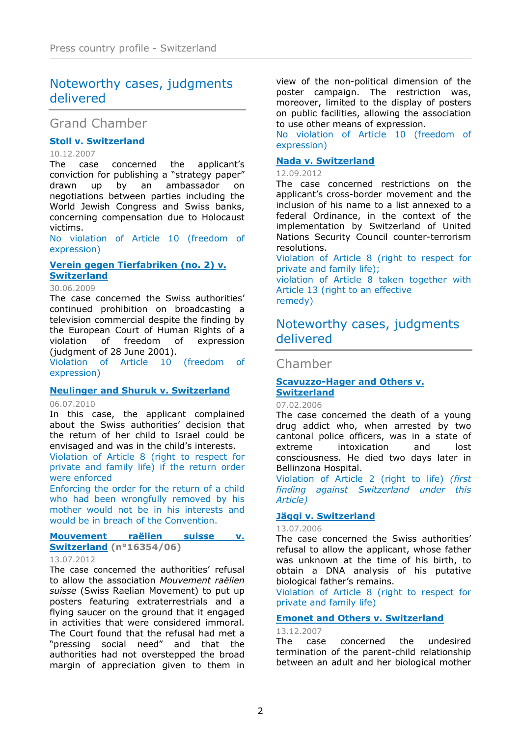# Noteworthy cases, judgments delivered

# Grand Chamber

# [Stoll](http://cmiskp.echr.coe.int/tkp197/view.asp?action=html&documentId=826924&portal=hbkm&source=externalbydocnumber&table=F69A27FD8FB86142BF01C1166DEA398649) [v.](http://cmiskp.echr.coe.int/tkp197/view.asp?action=html&documentId=826924&portal=hbkm&source=externalbydocnumber&table=F69A27FD8FB86142BF01C1166DEA398649) [Switzerland](http://cmiskp.echr.coe.int/tkp197/view.asp?action=html&documentId=826924&portal=hbkm&source=externalbydocnumber&table=F69A27FD8FB86142BF01C1166DEA398649)

10.12.2007

The case concerned the applicant's conviction for publishing a "strategy paper" drawn up by an ambassador on negotiations between parties including the World Jewish Congress and Swiss banks, concerning compensation due to Holocaust victims.

No violation of Article 10 (freedom of expression)

# [Verein](http://cmiskp.echr.coe.int/tkp197/view.asp?action=html&documentId=851896&portal=hbkm&source=externalbydocnumber&table=F69A27FD8FB86142BF01C1166DEA398649) [gegen](http://cmiskp.echr.coe.int/tkp197/view.asp?action=html&documentId=851896&portal=hbkm&source=externalbydocnumber&table=F69A27FD8FB86142BF01C1166DEA398649) Ti[erfabriken](http://cmiskp.echr.coe.int/tkp197/view.asp?action=html&documentId=851896&portal=hbkm&source=externalbydocnumber&table=F69A27FD8FB86142BF01C1166DEA398649) [\(no.](http://cmiskp.echr.coe.int/tkp197/view.asp?action=html&documentId=851896&portal=hbkm&source=externalbydocnumber&table=F69A27FD8FB86142BF01C1166DEA398649) [2\)](http://cmiskp.echr.coe.int/tkp197/view.asp?action=html&documentId=851896&portal=hbkm&source=externalbydocnumber&table=F69A27FD8FB86142BF01C1166DEA398649) [v.](http://cmiskp.echr.coe.int/tkp197/view.asp?action=html&documentId=851896&portal=hbkm&source=externalbydocnumber&table=F69A27FD8FB86142BF01C1166DEA398649) **[Switzerland](http://cmiskp.echr.coe.int/tkp197/view.asp?action=html&documentId=851896&portal=hbkm&source=externalbydocnumber&table=F69A27FD8FB86142BF01C1166DEA398649)**

#### 30.06.2009

The case concerned the Swiss authorities' continued prohibition on broadcasting a television commercial despite the finding by the European Court of Human Rights of a violation of freedom of expression (judgment of 28 June 2001).

Violation of Article 10 (freedom of expression)

# [Neulinger](http://cmiskp.echr.coe.int/tkp197/view.asp?action=html&documentId=870915&portal=hbkm&source=externalbydocnumber&table=F69A27FD8FB86142BF01C1166DEA398649) [and](http://cmiskp.echr.coe.int/tkp197/view.asp?action=html&documentId=870915&portal=hbkm&source=externalbydocnumber&table=F69A27FD8FB86142BF01C1166DEA398649) [S](http://cmiskp.echr.coe.int/tkp197/view.asp?action=html&documentId=870915&portal=hbkm&source=externalbydocnumber&table=F69A27FD8FB86142BF01C1166DEA398649) [huruk](http://cmiskp.echr.coe.int/tkp197/view.asp?action=html&documentId=870915&portal=hbkm&source=externalbydocnumber&table=F69A27FD8FB86142BF01C1166DEA398649) [v.](http://cmiskp.echr.coe.int/tkp197/view.asp?action=html&documentId=870915&portal=hbkm&source=externalbydocnumber&table=F69A27FD8FB86142BF01C1166DEA398649) [Switzerland](http://cmiskp.echr.coe.int/tkp197/view.asp?action=html&documentId=870915&portal=hbkm&source=externalbydocnumber&table=F69A27FD8FB86142BF01C1166DEA398649)

#### 06.07.2010

In this case, the applicant complained about the Swiss authorities' decision that the return of her child to Israel could be envisaged and was in the child's interests. Violation of Article 8 (right to respect for private and family life) if the return order

were enforced

Enforcing the order for the return of a child who had been wrongfully removed by his mother would not be in his interests and would be in breach of the Convention.

# [Mouvement](http://hudoc.echr.coe.int/sites/eng-press/pages/search.aspx?i=003-4020577-4688827) [raëlien](http://hudoc.echr.coe.int/sites/eng-press/pages/search.aspx?i=003-4020577-4688827) [suisse](http://hudoc.echr.coe.int/sites/eng-press/pages/search.aspx?i=003-4020577-4688827) [v.](http://hudoc.echr.coe.int/sites/eng-press/pages/search.aspx?i=003-4020577-4688827) [Switzerland](http://hudoc.echr.coe.int/sites/eng-press/pages/search.aspx?i=003-4020577-4688827) (n°16354/06)

#### 13.07.2012

The case concerned the authorities' refusal to allow the association Mouvement raëlien suisse (Swiss Raelian Movement) to put up posters featuring extraterrestrials and a flying saucer on the ground that it engaged in activities that were considered immoral. The Court found that the refusal had met a "pressing social need" and that the authorities had not overstepped the broad margin of appreciation given to them in

view of the non-political dimension of the poster campaign. The restriction was, moreover, limited to the display of posters on public facilities, allowing the association to use other means of expression.

No violation of Article 10 (freedom of expression)

# [Nada](http://hudoc.echr.coe.int/sites/fra-press/pages/search.aspx?i=003-4074237-4770956) [v.](http://hudoc.echr.coe.int/sites/fra-press/pages/search.aspx?i=003-4074237-4770956) [Switzerland](http://hudoc.echr.coe.int/sites/fra-press/pages/search.aspx?i=003-4074237-4770956)

# 12.09.2012

The case concerned restrictions on the applicant's cross-border movement and the inclusion of his name to a list annexed to a federal Ordinance, in the context of the implementation by Switzerland of United Nations Security Council counter-terrorism resolutions.

Violation of Article 8 (right to respect for private and family life);

violation of Article 8 taken together with Article 13 (right to an effective remedy)

# Noteworthy cases, judgments delivered

# Chamber

# [Scavuzzo](http://cmiskp.echr.coe.int/tkp197/view.asp?action=html&documentId=801731&portal=hbkm&source=externalbydocnumber&table=F69A27FD8FB86142BF01C1166DEA398649) - Hage [r](http://cmiskp.echr.coe.int/tkp197/view.asp?action=html&documentId=801731&portal=hbkm&source=externalbydocnumber&table=F69A27FD8FB86142BF01C1166DEA398649) [and](http://cmiskp.echr.coe.int/tkp197/view.asp?action=html&documentId=801731&portal=hbkm&source=externalbydocnumber&table=F69A27FD8FB86142BF01C1166DEA398649) [Others](http://cmiskp.echr.coe.int/tkp197/view.asp?action=html&documentId=801731&portal=hbkm&source=externalbydocnumber&table=F69A27FD8FB86142BF01C1166DEA398649) [v.](http://cmiskp.echr.coe.int/tkp197/view.asp?action=html&documentId=801731&portal=hbkm&source=externalbydocnumber&table=F69A27FD8FB86142BF01C1166DEA398649) **[Switzerland](http://cmiskp.echr.coe.int/tkp197/view.asp?action=html&documentId=801731&portal=hbkm&source=externalbydocnumber&table=F69A27FD8FB86142BF01C1166DEA398649)**

#### 07.02.2006

The case concerned the death of a young drug addict who, when arrested by two cantonal police officers, was in a state of extreme intoxication and lost consciousness. He died two days later in Bellinzona Hospital.

Violation of Article 2 (right to life) (first finding against Switzerland under this Article)

# [Jäggi](http://cmiskp.echr.coe.int/tkp197/view.asp?action=html&documentId=806768&portal=hbkm&source=externalbydocnumber&table=F69A27FD8FB86142BF01C1166DEA398649) [v.](http://cmiskp.echr.coe.int/tkp197/view.asp?action=html&documentId=806768&portal=hbkm&source=externalbydocnumber&table=F69A27FD8FB86142BF01C1166DEA398649) [Sw](http://cmiskp.echr.coe.int/tkp197/view.asp?action=html&documentId=806768&portal=hbkm&source=externalbydocnumber&table=F69A27FD8FB86142BF01C1166DEA398649) [itzerland](http://cmiskp.echr.coe.int/tkp197/view.asp?action=html&documentId=806768&portal=hbkm&source=externalbydocnumber&table=F69A27FD8FB86142BF01C1166DEA398649)

#### 13.07.2006

The case concerned the Swiss authorities' refusal to allow the applicant, whose father was unknown at the time of his birth, to obtain a DNA analysis of his putative biological father's remains.

Violation of Article 8 (right to respect for private and family life)

# [Emonet](http://cmiskp.echr.coe.int/tkp197/view.asp?action=html&documentId=827045&portal=hbkm&source=externalbydocnumber&table=F69A27FD8FB86142BF01C1166DEA398649) [and](http://cmiskp.echr.coe.int/tkp197/view.asp?action=html&documentId=827045&portal=hbkm&source=externalbydocnumber&table=F69A27FD8FB86142BF01C1166DEA398649) [Others](http://cmiskp.echr.coe.int/tkp197/view.asp?action=html&documentId=827045&portal=hbkm&source=externalbydocnumber&table=F69A27FD8FB86142BF01C1166DEA398649) v[.](http://cmiskp.echr.coe.int/tkp197/view.asp?action=html&documentId=827045&portal=hbkm&source=externalbydocnumber&table=F69A27FD8FB86142BF01C1166DEA398649) [Switzerland](http://cmiskp.echr.coe.int/tkp197/view.asp?action=html&documentId=827045&portal=hbkm&source=externalbydocnumber&table=F69A27FD8FB86142BF01C1166DEA398649)

13.12.2007

The case concerned the undesired termination of the parent-child relationship between an adult and her biological mother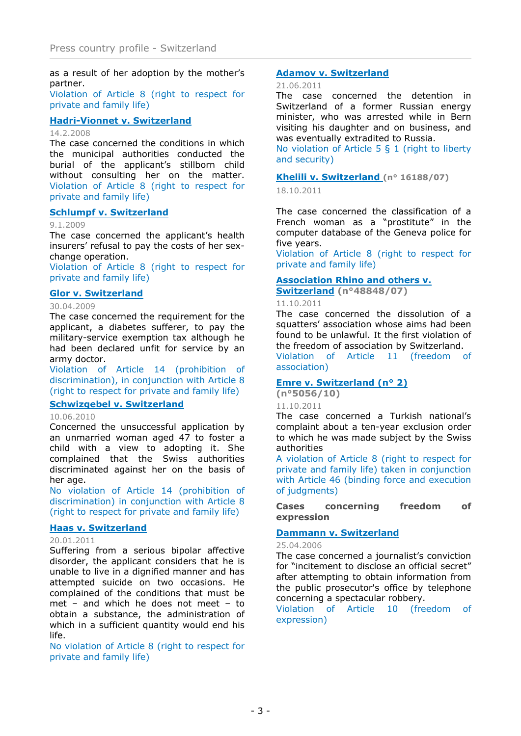as a result of her adoption by the mother's partner.

Violation of Article 8 (right to respect for private and family life)

[Hadri-Vionnet](http://cmiskp.echr.coe.int/tkp197/view.asp?action=html&documentId=829017&portal=hbkm&source=externalbydocnumber&table=F69A27FD8FB86142BF01C1166DEA398649) [v.](http://cmiskp.echr.coe.int/tkp197/view.asp?action=html&documentId=829017&portal=hbkm&source=externalbydocnumber&table=F69A27FD8FB86142BF01C1166DEA398649) [S](http://cmiskp.echr.coe.int/tkp197/view.asp?action=html&documentId=829017&portal=hbkm&source=externalbydocnumber&table=F69A27FD8FB86142BF01C1166DEA398649) [witzerland](http://cmiskp.echr.coe.int/tkp197/view.asp?action=html&documentId=829017&portal=hbkm&source=externalbydocnumber&table=F69A27FD8FB86142BF01C1166DEA398649)

#### 14.2.2008

The case concerned the conditions in which the municipal authorities conducted the burial of the applicant's stillborn child without consulting her on the matter. Violation of Article 8 (right to respect for private and family life)

# [Schlumpf](http://cmiskp.echr.coe.int/tkp197/view.asp?action=html&documentId=845264&portal=hbkm&source=externalbydocnumber&table=F69A27FD8FB86142BF01C1166DEA398649) v. [S](http://cmiskp.echr.coe.int/tkp197/view.asp?action=html&documentId=845264&portal=hbkm&source=externalbydocnumber&table=F69A27FD8FB86142BF01C1166DEA398649) [witzerland](http://cmiskp.echr.coe.int/tkp197/view.asp?action=html&documentId=845264&portal=hbkm&source=externalbydocnumber&table=F69A27FD8FB86142BF01C1166DEA398649)

## 9.1.2009

The case concerned the applicant's health insurers' refusal to pay the costs of her sexchange operation.

Violation of Article 8 (right to respect for private and family life)

# [Glor](http://cmiskp.echr.coe.int/tkp197/view.asp?action=html&documentId=850037&portal=hbkm&source=externalbydocnumber&table=F69A27FD8FB86142BF01C1166DEA398649) [v](http://cmiskp.echr.coe.int/tkp197/view.asp?action=html&documentId=850037&portal=hbkm&source=externalbydocnumber&table=F69A27FD8FB86142BF01C1166DEA398649). [Switzerland](http://cmiskp.echr.coe.int/tkp197/view.asp?action=html&documentId=850037&portal=hbkm&source=externalbydocnumber&table=F69A27FD8FB86142BF01C1166DEA398649)

# 30.04.2009

The case concerned the requirement for the applicant, a diabetes sufferer, to pay the military-service exemption tax although he had been declared unfit for service by an army doctor.

Violation of Article 14 (prohibition of discrimination), in conjunction with Article 8 (right to respect for private and family life)

[Schwizgebel](http://cmiskp.echr.coe.int/tkp197/view.asp?action=html&documentId=869659&portal=hbkm&source=externalbydocnumber&table=F69A27FD8FB86142BF01C1166DEA398649) v. [Switzerland](http://cmiskp.echr.coe.int/tkp197/view.asp?action=html&documentId=869659&portal=hbkm&source=externalbydocnumber&table=F69A27FD8FB86142BF01C1166DEA398649)

# 10.06.2010

Concerned the unsuccessful application by an unmarried woman aged 47 to foster a child with a view to adopting it. She complained that the Swiss authorities discriminated against her on the basis of her age.

No violation of Article 14 (prohibition of discrimination) in conjunction with Article 8 (right to respect for private and family life)

# [Haas](http://cmiskp.echr.coe.int/tkp197/view.asp?action=open&documentId=880288&portal=hbkm&source=externalbydocnumber&table=F69A27FD8FB86142BF01C1166DEA398649) [v.](http://cmiskp.echr.coe.int/tkp197/view.asp?action=open&documentId=880288&portal=hbkm&source=externalbydocnumber&table=F69A27FD8FB86142BF01C1166DEA398649) [Switzerland](http://cmiskp.echr.coe.int/tkp197/view.asp?action=open&documentId=880288&portal=hbkm&source=externalbydocnumber&table=F69A27FD8FB86142BF01C1166DEA398649)

# 20.01.2011

Suffering from a serious bipolar affective disorder, the applicant considers that he is unable to live in a dignified manner and has attempted suicide on two occasions. He complained of the conditions that must be met – and which he does not meet – to obtain a substance, the administration of which in a sufficient quantity would end his life.

No violation of Article 8 (right to respect for private and family life)

# [Adamov](http://cmiskp.echr.coe.int/tkp197/view.asp?action=open&documentId=886851&portal=hbkm&source=externalbydocnumber&table=F69A27FD8FB86142BF01C1166DEA398649) v[.](http://cmiskp.echr.coe.int/tkp197/view.asp?action=open&documentId=886851&portal=hbkm&source=externalbydocnumber&table=F69A27FD8FB86142BF01C1166DEA398649) [Switzerland](http://cmiskp.echr.coe.int/tkp197/view.asp?action=open&documentId=886851&portal=hbkm&source=externalbydocnumber&table=F69A27FD8FB86142BF01C1166DEA398649)

#### 21.06.2011

The case concerned the detention in Switzerland of a former Russian energy minister, who was arrested while in Bern visiting his daughter and on business, and was eventually extradited to Russia. No violation of Article 5 § 1 (right to liberty

and security)

# [Khelili](http://hudoc.echr.coe.int/sites/eng-press/pages/search.aspx?i=003-3714372-4232718) v[.](http://hudoc.echr.coe.int/sites/eng-press/pages/search.aspx?i=003-3714372-4232718) [Switzerland](http://hudoc.echr.coe.int/sites/eng-press/pages/search.aspx?i=003-3714372-4232718) (n° 16188/07)

18.10.2011

The case concerned the classification of a French woman as a "prostitute" in the computer database of the Geneva police for five years.

Violation of Article 8 (right to respect for private and family life)

# [Association](http://hudoc.echr.coe.int/sites/eng-press/pages/search.aspx?i=003-3703900-4218355) R[hino](http://hudoc.echr.coe.int/sites/eng-press/pages/search.aspx?i=003-3703900-4218355) [and](http://hudoc.echr.coe.int/sites/eng-press/pages/search.aspx?i=003-3703900-4218355) [others](http://hudoc.echr.coe.int/sites/eng-press/pages/search.aspx?i=003-3703900-4218355) v[.](http://hudoc.echr.coe.int/sites/eng-press/pages/search.aspx?i=003-3703900-4218355)

[Switzerland](http://hudoc.echr.coe.int/sites/eng-press/pages/search.aspx?i=003-3703900-4218355) (n°48848/07)

# 11.10.2011

The case concerned the dissolution of a squatters' association whose aims had been found to be unlawful. It the first violation of the freedom of association by Switzerland.

Violation of Article 11 (freedom of association)

# [Emre](http://hudoc.echr.coe.int/sites/eng-press/pages/search.aspx?i=003-3704430-4219144) [v.](http://hudoc.echr.coe.int/sites/eng-press/pages/search.aspx?i=003-3704430-4219144) [Switzerland](http://hudoc.echr.coe.int/sites/eng-press/pages/search.aspx?i=003-3704430-4219144) (n° [2\)](http://hudoc.echr.coe.int/sites/eng-press/pages/search.aspx?i=003-3704430-4219144)

(n°5056/10)

# 11.10.2011

The case concerned a Turkish national's complaint about a ten-year exclusion order to which he was made subject by the Swiss authorities

A violation of Article 8 (right to respect for private and family life) taken in conjunction with Article 46 (binding force and execution of judgments)

Cases concerning freedom of expression

# [Dammann](http://cmiskp.echr.coe.int/tkp197/view.asp?action=html&documentId=801764&portal=hbkm&source=externalbydocnumber&table=F69A27FD8FB86142BF01C1166DEA398649) v. [S](http://cmiskp.echr.coe.int/tkp197/view.asp?action=html&documentId=801764&portal=hbkm&source=externalbydocnumber&table=F69A27FD8FB86142BF01C1166DEA398649) [witzerland](http://cmiskp.echr.coe.int/tkp197/view.asp?action=html&documentId=801764&portal=hbkm&source=externalbydocnumber&table=F69A27FD8FB86142BF01C1166DEA398649)

# 25.04.2006

The case concerned a journalist's conviction for "incitement to disclose an official secret" after attempting to obtain information from the public prosecutor's office by telephone concerning a spectacular robbery.

Violation of Article 10 (freedom of expression)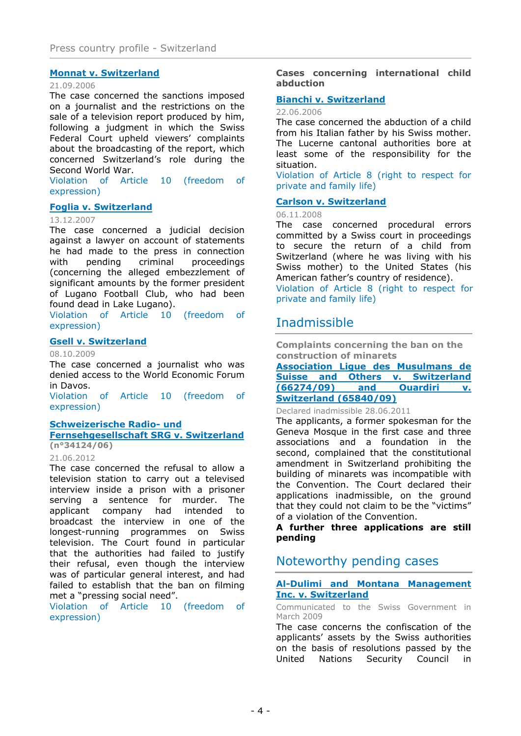# [Monnat](http://cmiskp.echr.coe.int/tkp197/view.asp?action=html&documentId=808631&portal=hbkm&source=externalbydocnumber&table=F69A27FD8FB86142BF01C1166DEA398649) v[.](http://cmiskp.echr.coe.int/tkp197/view.asp?action=html&documentId=808631&portal=hbkm&source=externalbydocnumber&table=F69A27FD8FB86142BF01C1166DEA398649) [Swi](http://cmiskp.echr.coe.int/tkp197/view.asp?action=html&documentId=808631&portal=hbkm&source=externalbydocnumber&table=F69A27FD8FB86142BF01C1166DEA398649) [tz](http://cmiskp.echr.coe.int/tkp197/view.asp?action=html&documentId=808631&portal=hbkm&source=externalbydocnumber&table=F69A27FD8FB86142BF01C1166DEA398649) [erland](http://cmiskp.echr.coe.int/tkp197/view.asp?action=html&documentId=808631&portal=hbkm&source=externalbydocnumber&table=F69A27FD8FB86142BF01C1166DEA398649)

#### 21.09.2006

The case concerned the sanctions imposed on a journalist and the restrictions on the sale of a television report produced by him, following a judgment in which the Swiss Federal Court upheld viewers' complaints about the broadcasting of the report, which concerned Switzerland's role during the Second World War.

Violation of Article 10 (freedom of expression)

# [Foglia](http://cmiskp.echr.coe.int/tkp197/view.asp?action=html&documentId=827047&portal=hbkm&source=externalbydocnumber&table=F69A27FD8FB86142BF01C1166DEA398649) [v.](http://cmiskp.echr.coe.int/tkp197/view.asp?action=html&documentId=827047&portal=hbkm&source=externalbydocnumber&table=F69A27FD8FB86142BF01C1166DEA398649) [Switzerland](http://cmiskp.echr.coe.int/tkp197/view.asp?action=html&documentId=827047&portal=hbkm&source=externalbydocnumber&table=F69A27FD8FB86142BF01C1166DEA398649)

#### 13.12.2007

The case concerned a judicial decision against a lawyer on account of statements he had made to the press in connection with pending criminal proceedings (concerning the alleged embezzlement of significant amounts by the former president of Lugano Football Club, who had been found dead in Lake Lugano). Violation of Article 10 (freedom of

expression)

# [Gsell](http://cmiskp.echr.coe.int/tkp197/view.asp?action=html&documentId=855598&portal=hbkm&source=externalbydocnumber&table=F69A27FD8FB86142BF01C1166DEA398649) [v.](http://cmiskp.echr.coe.int/tkp197/view.asp?action=html&documentId=855598&portal=hbkm&source=externalbydocnumber&table=F69A27FD8FB86142BF01C1166DEA398649) [Sw](http://cmiskp.echr.coe.int/tkp197/view.asp?action=html&documentId=855598&portal=hbkm&source=externalbydocnumber&table=F69A27FD8FB86142BF01C1166DEA398649) [itzerland](http://cmiskp.echr.coe.int/tkp197/view.asp?action=html&documentId=855598&portal=hbkm&source=externalbydocnumber&table=F69A27FD8FB86142BF01C1166DEA398649)

# 08.10.2009

The case concerned a journalist who was denied access to the World Economic Forum in Davos.

Violation of Article 10 (freedom of expression)

# [Schweizerische](http://hudoc.echr.coe.int/sites/eng-press/pages/search.aspx?i=003-3993066-4645436) Ra[dio-](http://hudoc.echr.coe.int/sites/eng-press/pages/search.aspx?i=003-3993066-4645436) [und](http://hudoc.echr.coe.int/sites/eng-press/pages/search.aspx?i=003-3993066-4645436)

[Fernsehgesellschaft](http://hudoc.echr.coe.int/sites/eng-press/pages/search.aspx?i=003-3993066-4645436) S[RG](http://hudoc.echr.coe.int/sites/eng-press/pages/search.aspx?i=003-3993066-4645436) v. [Switzerland](http://hudoc.echr.coe.int/sites/eng-press/pages/search.aspx?i=003-3993066-4645436) (n°34124/06)

# 21.06.2012

The case concerned the refusal to allow a television station to carry out a televised interview inside a prison with a prisoner serving a sentence for murder. The applicant company had intended to broadcast the interview in one of the longest-running programmes on Swiss television. The Court found in particular that the authorities had failed to justify their refusal, even though the interview was of particular general interest, and had failed to establish that the ban on filming met a "pressing social need".

Violation of Article 10 (freedom of expression)

Cases concerning international child abduction

# [Bianchi](http://cmiskp.echr.coe.int/tkp197/view.asp?action=html&documentId=806169&portal=hbkm&source=externalbydocnumber&table=F69A27FD8FB86142BF01C1166DEA398649) v[.](http://cmiskp.echr.coe.int/tkp197/view.asp?action=html&documentId=806169&portal=hbkm&source=externalbydocnumber&table=F69A27FD8FB86142BF01C1166DEA398649) [Switzerland](http://cmiskp.echr.coe.int/tkp197/view.asp?action=html&documentId=806169&portal=hbkm&source=externalbydocnumber&table=F69A27FD8FB86142BF01C1166DEA398649)

# 22.06.2006

The case concerned the abduction of a child from his Italian father by his Swiss mother. The Lucerne cantonal authorities bore at least some of the responsibility for the situation.

Violation of Article 8 (right to respect for private and family life)

# [Carlson](http://cmiskp.echr.coe.int/tkp197/view.asp?action=html&documentId=842916&portal=hbkm&source=externalbydocnumber&table=F69A27FD8FB86142BF01C1166DEA398649) v[.](http://cmiskp.echr.coe.int/tkp197/view.asp?action=html&documentId=842916&portal=hbkm&source=externalbydocnumber&table=F69A27FD8FB86142BF01C1166DEA398649) [Switzerland](http://cmiskp.echr.coe.int/tkp197/view.asp?action=html&documentId=842916&portal=hbkm&source=externalbydocnumber&table=F69A27FD8FB86142BF01C1166DEA398649)

06.11.2008

The case concerned procedural errors committed by a Swiss court in proceedings to secure the return of a child from Switzerland (where he was living with his Swiss mother) to the United States (his American father's country of residence). Violation of Article 8 (right to respect for private and family life)

# Inadmissible

Complaints concerning the ban on the construction of minarets

[Association](http://cmiskp.echr.coe.int/tkp197/view.asp?action=open&documentId=887986&portal=hbkm&source=externalbydocnumber&table=F69A27FD8FB86142BF01C1166DEA398649) [Ligue](http://cmiskp.echr.coe.int/tkp197/view.asp?action=open&documentId=887986&portal=hbkm&source=externalbydocnumber&table=F69A27FD8FB86142BF01C1166DEA398649) [des](http://cmiskp.echr.coe.int/tkp197/view.asp?action=open&documentId=887986&portal=hbkm&source=externalbydocnumber&table=F69A27FD8FB86142BF01C1166DEA398649) [Musulmans](http://cmiskp.echr.coe.int/tkp197/view.asp?action=open&documentId=887986&portal=hbkm&source=externalbydocnumber&table=F69A27FD8FB86142BF01C1166DEA398649) [de](http://cmiskp.echr.coe.int/tkp197/view.asp?action=open&documentId=887986&portal=hbkm&source=externalbydocnumber&table=F69A27FD8FB86142BF01C1166DEA398649) [Suisse](http://cmiskp.echr.coe.int/tkp197/view.asp?action=open&documentId=887986&portal=hbkm&source=externalbydocnumber&table=F69A27FD8FB86142BF01C1166DEA398649) [and](http://cmiskp.echr.coe.int/tkp197/view.asp?action=open&documentId=887986&portal=hbkm&source=externalbydocnumber&table=F69A27FD8FB86142BF01C1166DEA398649) [Others](http://cmiskp.echr.coe.int/tkp197/view.asp?action=open&documentId=887986&portal=hbkm&source=externalbydocnumber&table=F69A27FD8FB86142BF01C1166DEA398649) [v.](http://cmiskp.echr.coe.int/tkp197/view.asp?action=open&documentId=887986&portal=hbkm&source=externalbydocnumber&table=F69A27FD8FB86142BF01C1166DEA398649) [Switzerland](http://cmiskp.echr.coe.int/tkp197/view.asp?action=open&documentId=887986&portal=hbkm&source=externalbydocnumber&table=F69A27FD8FB86142BF01C1166DEA398649) [\(66274/09\)](http://cmiskp.echr.coe.int/tkp197/view.asp?action=open&documentId=887986&portal=hbkm&source=externalbydocnumber&table=F69A27FD8FB86142BF01C1166DEA398649) [and](http://cmiskp.echr.coe.int/tkp197/view.asp?action=open&documentId=887986&portal=hbkm&source=externalbydocnumber&table=F69A27FD8FB86142BF01C1166DEA398649) [Ouardiri](http://cmiskp.echr.coe.int/tkp197/view.asp?action=open&documentId=887986&portal=hbkm&source=externalbydocnumber&table=F69A27FD8FB86142BF01C1166DEA398649) [v.](http://cmiskp.echr.coe.int/tkp197/view.asp?action=open&documentId=887986&portal=hbkm&source=externalbydocnumber&table=F69A27FD8FB86142BF01C1166DEA398649) [Switzerland](http://cmiskp.echr.coe.int/tkp197/view.asp?action=open&documentId=887986&portal=hbkm&source=externalbydocnumber&table=F69A27FD8FB86142BF01C1166DEA398649) (6[5840/09\)](http://cmiskp.echr.coe.int/tkp197/view.asp?action=open&documentId=887986&portal=hbkm&source=externalbydocnumber&table=F69A27FD8FB86142BF01C1166DEA398649)

# Declared inadmissible 28.06.2011

The applicants, a former spokesman for the Geneva Mosque in the first case and three associations and a foundation in the second, complained that the constitutional amendment in Switzerland prohibiting the building of minarets was incompatible with the Convention. The Court declared their applications inadmissible, on the ground that they could not claim to be the "victims" of a violation of the Convention.

A further three applications are still pending

# Noteworthy pending cases

[Al-Dulimi](http://hudoc.echr.coe.int/sites/eng/pages/search.aspx?i=002-1605) [and](http://hudoc.echr.coe.int/sites/eng/pages/search.aspx?i=002-1605) [Montana](http://hudoc.echr.coe.int/sites/eng/pages/search.aspx?i=002-1605) [Management](http://hudoc.echr.coe.int/sites/eng/pages/search.aspx?i=002-1605) [Inc.](http://hudoc.echr.coe.int/sites/eng/pages/search.aspx?i=002-1605) [v.](http://hudoc.echr.coe.int/sites/eng/pages/search.aspx?i=002-1605) [Sw](http://hudoc.echr.coe.int/sites/eng/pages/search.aspx?i=002-1605) [itzerland](http://hudoc.echr.coe.int/sites/eng/pages/search.aspx?i=002-1605)

Communicated to the Swiss Government in March 2009

The case concerns the confiscation of the applicants' assets by the Swiss authorities on the basis of resolutions passed by the United Nations Security Council in